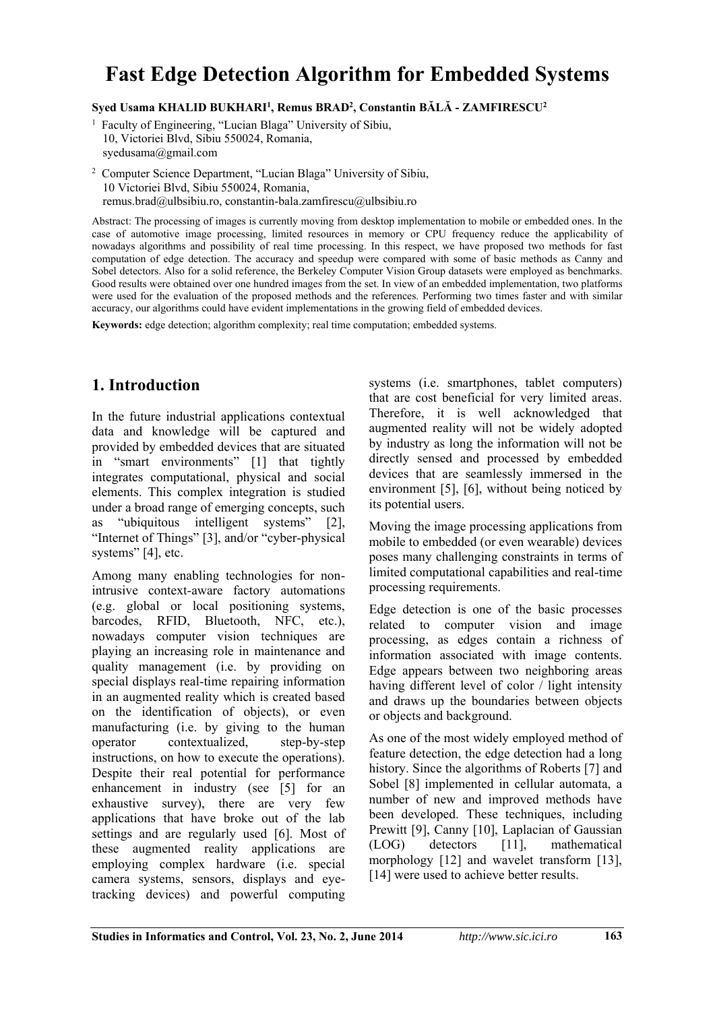# **Fast Edge Detection Algorithm for Embedded Systems**

**Syed Usama KHALID BUKHARI<sup>1</sup> , Remus BRAD<sup>2</sup> , Constantin BĂLĂ - ZAMFIRESCU<sup>2</sup>**

<sup>1</sup> Faculty of Engineering, "Lucian Blaga" University of Sibiu, 10, Victoriei Blvd, Sibiu 550024, Romania, syedusama@gmail.com

<sup>2</sup> Computer Science Department, "Lucian Blaga" University of Sibiu, 10 Victoriei Blvd, Sibiu 550024, Romania, remus.brad@ulbsibiu.ro, constantin-bala.zamfirescu@ulbsibiu.ro

Abstract: The processing of images is currently moving from desktop implementation to mobile or embedded ones. In the case of automotive image processing, limited resources in memory or CPU frequency reduce the applicability of nowadays algorithms and possibility of real time processing. In this respect, we have proposed two methods for fast computation of edge detection. The accuracy and speedup were compared with some of basic methods as Canny and Sobel detectors. Also for a solid reference, the Berkeley Computer Vision Group datasets were employed as benchmarks. Good results were obtained over one hundred images from the set. In view of an embedded implementation, two platforms were used for the evaluation of the proposed methods and the references. Performing two times faster and with similar accuracy, our algorithms could have evident implementations in the growing field of embedded devices.

**Keywords:** edge detection; algorithm complexity; real time computation; embedded systems.

## **1. Introduction**

In the future industrial applications contextual data and knowledge will be captured and provided by embedded devices that are situated in "smart environments" [1] that tightly integrates computational, physical and social elements. This complex integration is studied under a broad range of emerging concepts, such as "ubiquitous intelligent systems" [2], "Internet of Things" [3], and/or "cyber-physical systems" [4], etc.

Among many enabling technologies for nonintrusive context-aware factory automations (e.g. global or local positioning systems, barcodes, RFID, Bluetooth, NFC, etc.), nowadays computer vision techniques are playing an increasing role in maintenance and quality management (i.e. by providing on special displays real-time repairing information in an augmented reality which is created based on the identification of objects), or even manufacturing (i.e. by giving to the human operator contextualized, step-by-step instructions, on how to execute the operations). Despite their real potential for performance enhancement in industry (see [5] for an exhaustive survey), there are very few applications that have broke out of the lab settings and are regularly used [6]. Most of these augmented reality applications are employing complex hardware (i.e. special camera systems, sensors, displays and eyetracking devices) and powerful computing

systems (i.e. smartphones, tablet computers) that are cost beneficial for very limited areas. Therefore, it is well acknowledged that augmented reality will not be widely adopted by industry as long the information will not be directly sensed and processed by embedded devices that are seamlessly immersed in the environment [5], [6], without being noticed by its potential users.

Moving the image processing applications from mobile to embedded (or even wearable) devices poses many challenging constraints in terms of limited computational capabilities and real-time processing requirements.

Edge detection is one of the basic processes related to computer vision and image processing, as edges contain a richness of information associated with image contents. Edge appears between two neighboring areas having different level of color / light intensity and draws up the boundaries between objects or objects and background.

As one of the most widely employed method of feature detection, the edge detection had a long history. Since the algorithms of Roberts [7] and Sobel [8] implemented in cellular automata, a number of new and improved methods have been developed. These techniques, including Prewitt [9], Canny [10], Laplacian of Gaussian (LOG) detectors [11], mathematical morphology [12] and wavelet transform [13], [14] were used to achieve better results.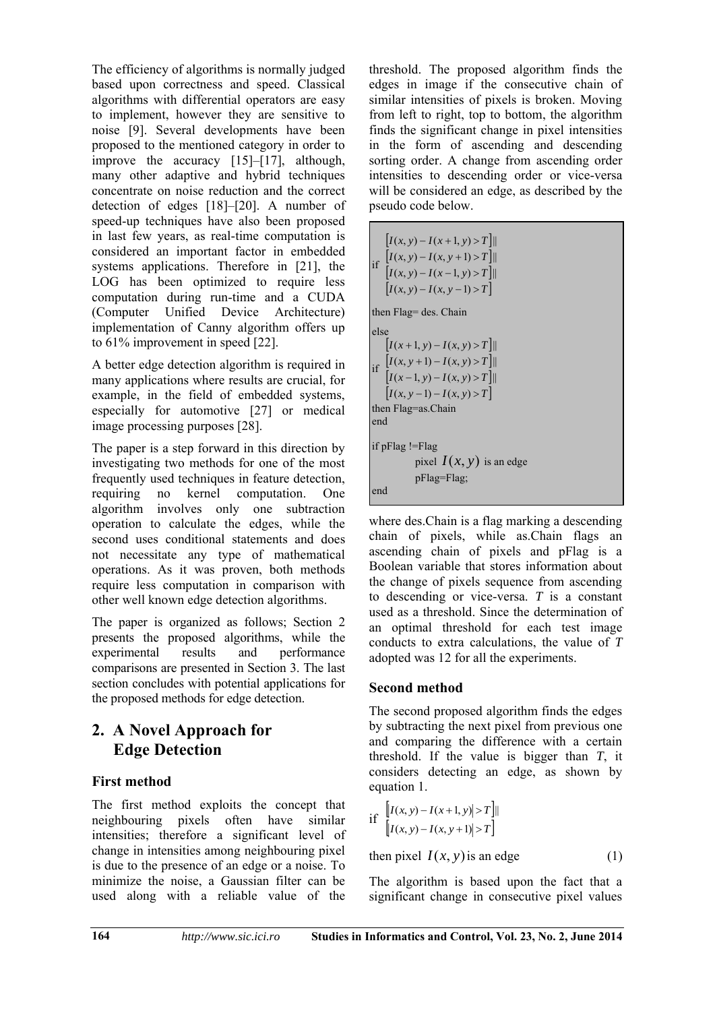The efficiency of algorithms is normally judged based upon correctness and speed. Classical algorithms with differential operators are easy to implement, however they are sensitive to noise [9]. Several developments have been proposed to the mentioned category in order to improve the accuracy [15]–[17], although, many other adaptive and hybrid techniques concentrate on noise reduction and the correct detection of edges [18]–[20]. A number of speed-up techniques have also been proposed in last few years, as real-time computation is considered an important factor in embedded systems applications. Therefore in [21], the LOG has been optimized to require less computation during run-time and a CUDA (Computer Unified Device Architecture) implementation of Canny algorithm offers up to 61% improvement in speed [22].

A better edge detection algorithm is required in many applications where results are crucial, for example, in the field of embedded systems, especially for automotive [27] or medical image processing purposes [28].

The paper is a step forward in this direction by investigating two methods for one of the most frequently used techniques in feature detection, requiring no kernel computation. One algorithm involves only one subtraction operation to calculate the edges, while the second uses conditional statements and does not necessitate any type of mathematical operations. As it was proven, both methods require less computation in comparison with other well known edge detection algorithms.

The paper is organized as follows; Section 2 presents the proposed algorithms, while the experimental results and performance comparisons are presented in Section 3. The last section concludes with potential applications for the proposed methods for edge detection.

# **2. A Novel Approach for Edge Detection**

#### **First method**

The first method exploits the concept that neighbouring pixels often have similar intensities; therefore a significant level of change in intensities among neighbouring pixel is due to the presence of an edge or a noise. To minimize the noise, a Gaussian filter can be used along with a reliable value of the threshold. The proposed algorithm finds the edges in image if the consecutive chain of similar intensities of pixels is broken. Moving from left to right, top to bottom, the algorithm finds the significant change in pixel intensities in the form of ascending and descending sorting order. A change from ascending order intensities to descending order or vice-versa will be considered an edge, as described by the pseudo code below.

if  $[I(x, y) - I(x, y+1) > T]$  $[I(x, y) - I(x+1, y) > T]$  $[I(x, y) - I(x-1, y) > T]$  $[I(x, y) - I(x, y-1) > T]$  $I(x, y) - I(x, y + 1) > T$  $-1(x-1, y)$  $-1(x, y+1)$  $(x, y) - I(x-1, y) > T$ ||  $(x, y) - I(x, y + 1) > T$ then Flag= des. Chain else if  $[I(x, y+1) - I(x, y) > T]$  $[I(x+1, y) - I(x, y) > T]$  $[I(x-1, y) - I(x, y) > T]$  $[I(x, y-1)-I(x, y) > T]$  $I(x, y+1) - I(x, y) > T$  $-1, v - I(x, y) >$  $+1) - I(x, y)$  $(x-1, y) - I(x, y) > T$ ||  $(x, y+1) - I(x, y) > T$ || then Flag=as.Chain end if pFlag !=Flag pixel  $I(x, y)$  is an edge pFlag=Flag; end

where des.Chain is a flag marking a descending chain of pixels, while as.Chain flags an ascending chain of pixels and pFlag is a Boolean variable that stores information about the change of pixels sequence from ascending to descending or vice-versa. *T* is a constant used as a threshold. Since the determination of an optimal threshold for each test image conducts to extra calculations, the value of *T* adopted was 12 for all the experiments.

#### **Second method**

The second proposed algorithm finds the edges by subtracting the next pixel from previous one and comparing the difference with a certain threshold. If the value is bigger than *T*, it considers detecting an edge, as shown by equation 1.

if 
$$
\left[ |I(x, y) - I(x+1, y)| > T \right]
$$
  
 $\left[ |I(x, y) - I(x, y+1)| > T \right]$ 

then pixel  $I(x, y)$  is an edge (1)

The algorithm is based upon the fact that a significant change in consecutive pixel values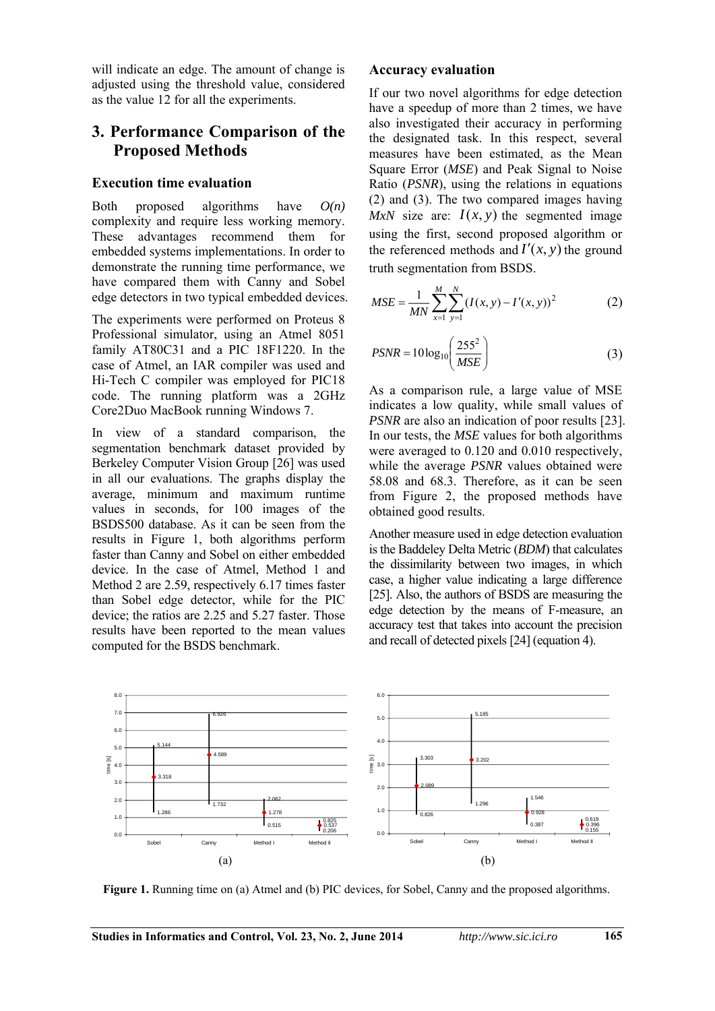will indicate an edge. The amount of change is adjusted using the threshold value, considered as the value 12 for all the experiments.

#### **3. Performance Comparison of the Proposed Methods**

#### **Execution time evaluation**

Both proposed algorithms have *O(n)* complexity and require less working memory. These advantages recommend them for embedded systems implementations. In order to demonstrate the running time performance, we have compared them with Canny and Sobel edge detectors in two typical embedded devices.

The experiments were performed on Proteus 8 Professional simulator, using an Atmel 8051 family AT80C31 and a PIC 18F1220. In the case of Atmel, an IAR compiler was used and Hi-Tech C compiler was employed for PIC18 code. The running platform was a 2GHz Core2Duo MacBook running Windows 7.

In view of a standard comparison, the segmentation benchmark dataset provided by Berkeley Computer Vision Group [26] was used in all our evaluations. The graphs display the average, minimum and maximum runtime values in seconds, for 100 images of the BSDS500 database. As it can be seen from the results in Figure 1, both algorithms perform faster than Canny and Sobel on either embedded device. In the case of Atmel, Method 1 and Method 2 are 2.59, respectively 6.17 times faster than Sobel edge detector, while for the PIC device; the ratios are 2.25 and 5.27 faster. Those results have been reported to the mean values computed for the BSDS benchmark.

#### **Accuracy evaluation**

If our two novel algorithms for edge detection have a speedup of more than 2 times, we have also investigated their accuracy in performing the designated task. In this respect, several measures have been estimated, as the Mean Square Error (*MSE*) and Peak Signal to Noise Ratio (*PSNR*), using the relations in equations (2) and (3). The two compared images having *MxN* size are:  $I(x, y)$  the segmented image using the first, second proposed algorithm or the referenced methods and  $I'(x, y)$  the ground truth segmentation from BSDS.

$$
MSE = \frac{1}{MN} \sum_{x=1}^{M} \sum_{y=1}^{N} (I(x, y) - I'(x, y))^2
$$
 (2)

$$
PSNR = 10\log_{10}\left(\frac{255^2}{MSE}\right) \tag{3}
$$

As a comparison rule, a large value of MSE indicates a low quality, while small values of *PSNR* are also an indication of poor results [23]. In our tests, the *MSE* values for both algorithms were averaged to 0.120 and 0.010 respectively, while the average *PSNR* values obtained were 58.08 and 68.3. Therefore, as it can be seen from Figure 2, the proposed methods have obtained good results.

Another measure used in edge detection evaluation is the Baddeley Delta Metric (*BDM*) that calculates the dissimilarity between two images, in which case, a higher value indicating a large difference [25]. Also, the authors of BSDS are measuring the edge detection by the means of F-measure, an accuracy test that takes into account the precision and recall of detected pixels [24] (equation 4).



**Figure 1.** Running time on (a) Atmel and (b) PIC devices, for Sobel, Canny and the proposed algorithms.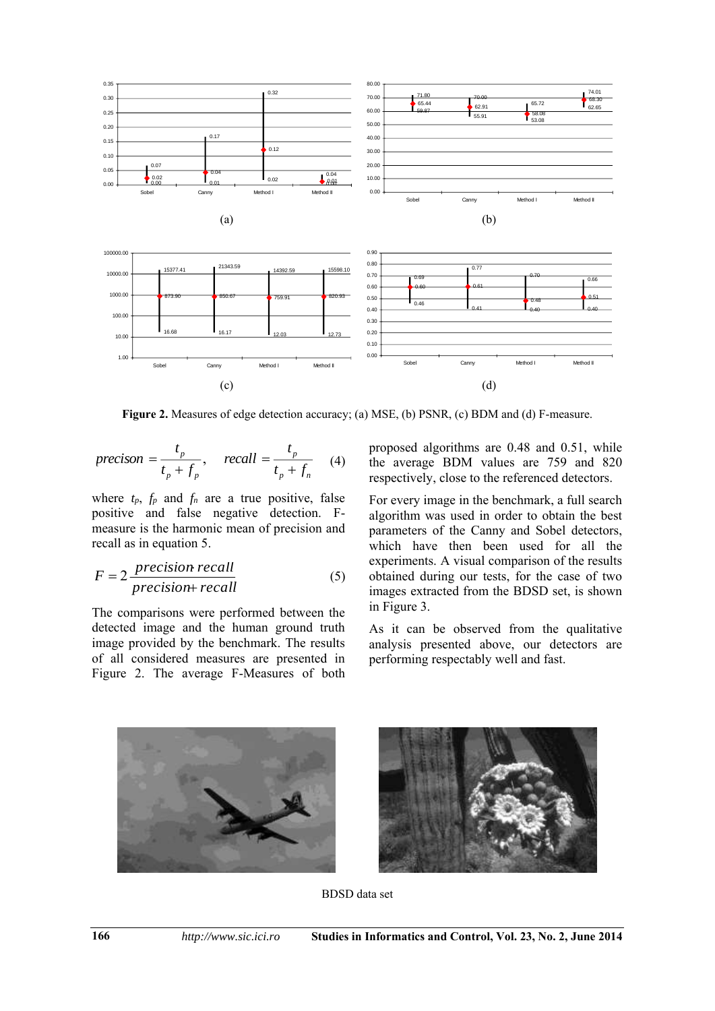

Figure 2. Measures of edge detection accuracy; (a) MSE, (b) PSNR, (c) BDM and (d) F-measure.

$$
precision = \frac{t_p}{t_p + f_p}, \quad recall = \frac{t_p}{t_p + f_n} \quad (4)
$$

where  $t_p$ ,  $f_p$  and  $f_n$  are a true positive, false positive and false negative detection. Fmeasure is the harmonic mean of precision and recall as in equation 5.

$$
F = 2 \frac{precision \: recall}{precision + recall}
$$
 (5)

The comparisons were performed between the detected image and the human ground truth image provided by the benchmark. The results of all considered measures are presented in Figure 2. The average F-Measures of both proposed algorithms are 0.48 and 0.51, while the average BDM values are 759 and 820 respectively, close to the referenced detectors.

For every image in the benchmark, a full search algorithm was used in order to obtain the best parameters of the Canny and Sobel detectors, which have then been used for all the experiments. A visual comparison of the results obtained during our tests, for the case of two images extracted from the BDSD set, is shown in Figure 3.

As it can be observed from the qualitative analysis presented above, our detectors are performing respectably well and fast.





BDSD data set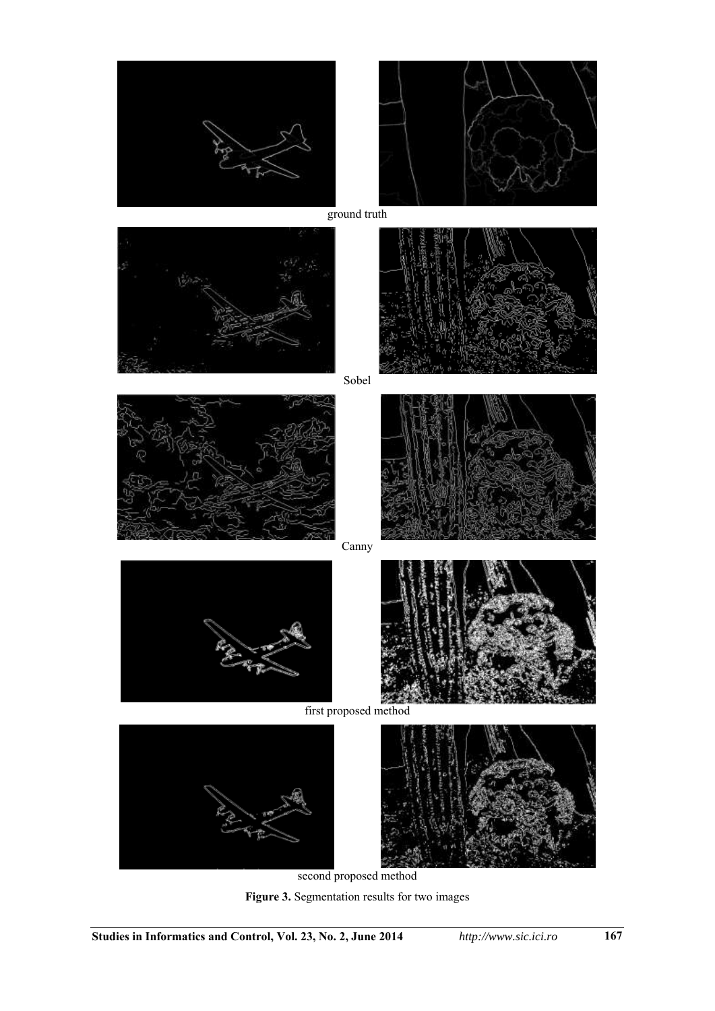



ground truth





Sobel



Canny





first proposed method



second proposed method

**Figure 3.** Segmentation results for two images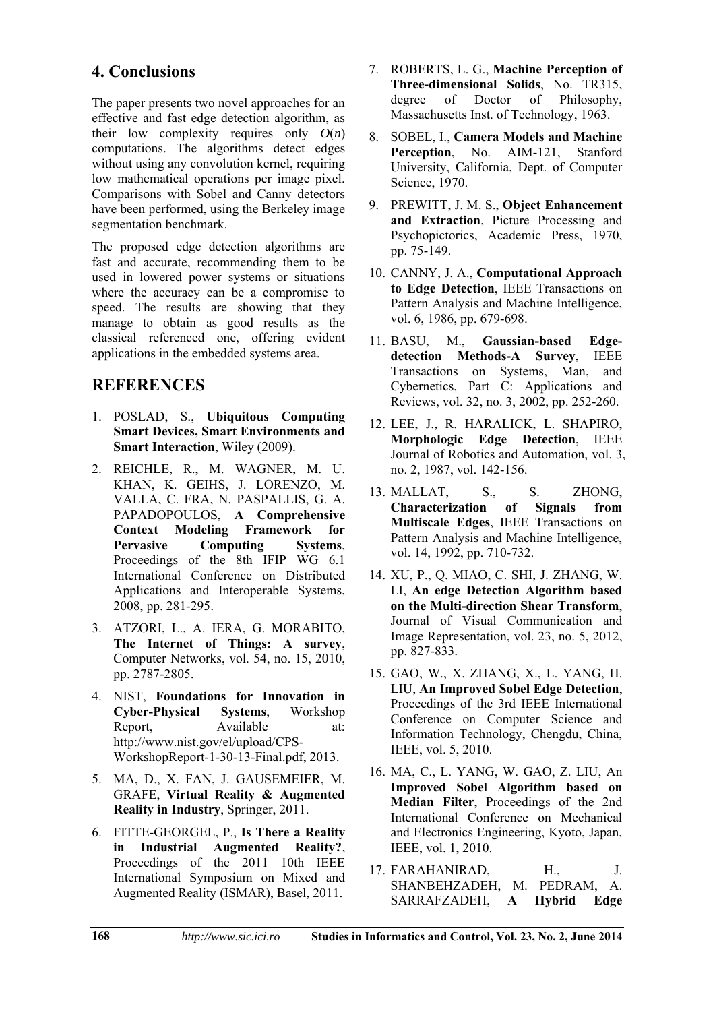# **4. Conclusions**

The paper presents two novel approaches for an effective and fast edge detection algorithm, as their low complexity requires only  $O(n)$ computations. The algorithms detect edges without using any convolution kernel, requiring low mathematical operations per image pixel. Comparisons with Sobel and Canny detectors have been performed, using the Berkeley image segmentation benchmark.

The proposed edge detection algorithms are fast and accurate, recommending them to be used in lowered power systems or situations where the accuracy can be a compromise to speed. The results are showing that they manage to obtain as good results as the classical referenced one, offering evident applications in the embedded systems area.

## **REFERENCES**

- 1. POSLAD, S., **Ubiquitous Computing Smart Devices, Smart Environments and Smart Interaction**, Wiley (2009).
- 2. REICHLE, R., M. WAGNER, M. U. KHAN, K. GEIHS, J. LORENZO, M. VALLA, C. FRA, N. PASPALLIS, G. A. PAPADOPOULOS, **A Comprehensive Context Modeling Framework for Pervasive Computing Systems**, Proceedings of the 8th IFIP WG 6.1 International Conference on Distributed Applications and Interoperable Systems, 2008, pp. 281-295.
- 3. ATZORI, L., A. IERA, G. MORABITO, **The Internet of Things: A survey**, Computer Networks, vol. 54, no. 15, 2010, pp. 2787-2805.
- 4. NIST, **Foundations for Innovation in Cyber-Physical Systems**, Workshop Report, Available at: http://www.nist.gov/el/upload/CPS-WorkshopReport-1-30-13-Final.pdf, 2013.
- 5. MA, D., X. FAN, J. GAUSEMEIER, M. GRAFE, **Virtual Reality & Augmented Reality in Industry**, Springer, 2011.
- 6. FITTE-GEORGEL, P., **Is There a Reality in Industrial Augmented Reality?**, Proceedings of the 2011 10th IEEE International Symposium on Mixed and Augmented Reality (ISMAR), Basel, 2011.
- 7. ROBERTS, L. G., **Machine Perception of Three-dimensional Solids**, No. TR315, degree of Doctor of Philosophy, Massachusetts Inst. of Technology, 1963.
- 8. SOBEL, I., **Camera Models and Machine**  Perception, No. AIM-121, Stanford University, California, Dept. of Computer Science, 1970.
- 9. PREWITT, J. M. S., **Object Enhancement and Extraction**, Picture Processing and Psychopictorics, Academic Press, 1970, pp. 75-149.
- 10. CANNY, J. A., **Computational Approach to Edge Detection**, IEEE Transactions on Pattern Analysis and Machine Intelligence, vol. 6, 1986, pp. 679-698.
- 11. BASU, M., **Gaussian-based Edgedetection Methods-A Survey**, IEEE Transactions on Systems, Man, and Cybernetics, Part C: Applications and Reviews, vol. 32, no. 3, 2002, pp. 252-260.
- 12. LEE, J., R. HARALICK, L. SHAPIRO, **Morphologic Edge Detection**, IEEE Journal of Robotics and Automation, vol. 3, no. 2, 1987, vol. 142-156.
- 13. MALLAT, S., S. ZHONG, **Characterization of Signals from Multiscale Edges**, IEEE Transactions on Pattern Analysis and Machine Intelligence, vol. 14, 1992, pp. 710-732.
- 14. XU, P., Q. MIAO, C. SHI, J. ZHANG, W. LI, **An edge Detection Algorithm based on the Multi-direction Shear Transform**, Journal of Visual Communication and Image Representation, vol. 23, no. 5, 2012, pp. 827-833.
- 15. GAO, W., X. ZHANG, X., L. YANG, H. LIU, **An Improved Sobel Edge Detection**, Proceedings of the 3rd IEEE International Conference on Computer Science and Information Technology, Chengdu, China, IEEE, vol. 5, 2010.
- 16. MA, C., L. YANG, W. GAO, Z. LIU, An **Improved Sobel Algorithm based on Median Filter**, Proceedings of the 2nd International Conference on Mechanical and Electronics Engineering, Kyoto, Japan, IEEE, vol. 1, 2010.
- 17. FARAHANIRAD, H., J. SHANBEHZADEH, M. PEDRAM, A.<br>SARRAFZADEH, **A Hvbrid Edge** SARRAFZADEH. **A**